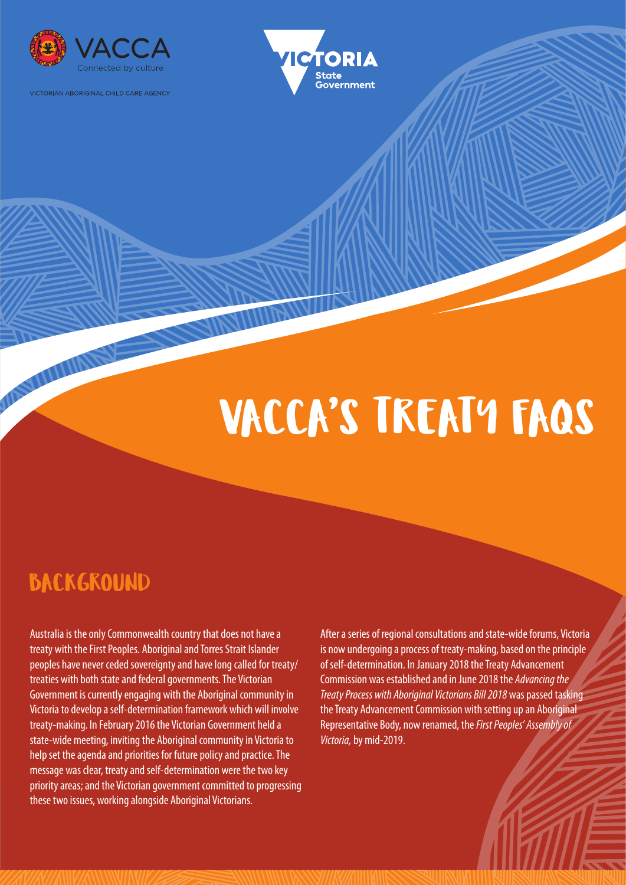

VICTORIAN ARORIGINAL CHILD CARE AGENCY



# VACCA'S TREATY FAQS

# **BACKGROUND**

ANUUIINT

Australia is the only Commonwealth country that does not have a treaty with the First Peoples. Aboriginal and Torres Strait Islander peoples have never ceded sovereignty and have long called for treaty/ treaties with both state and federal governments. The Victorian Government is currently engaging with the Aboriginal community in Victoria to develop a self-determination framework which will involve treaty-making. In February 2016 the Victorian Government held a state-wide meeting, inviting the Aboriginal community in Victoria to help set the agenda and priorities for future policy and practice. The message was clear, treaty and self-determination were the two key priority areas; and the Victorian government committed to progressing these two issues, working alongside Aboriginal Victorians.

After a series of regional consultations and state-wide forums, Victoria is now undergoing a process of treaty-making, based on the principle of self-determination. In January 2018 the Treaty Advancement Commission was established and in June 2018 the *Advancing the Treaty Process with Aboriginal Victorians Bill 2018* was passed tasking the Treaty Advancement Commission with setting up an Aboriginal Representative Body, now renamed, the *First Peoples' Assembly of Victoria,* by mid-2019.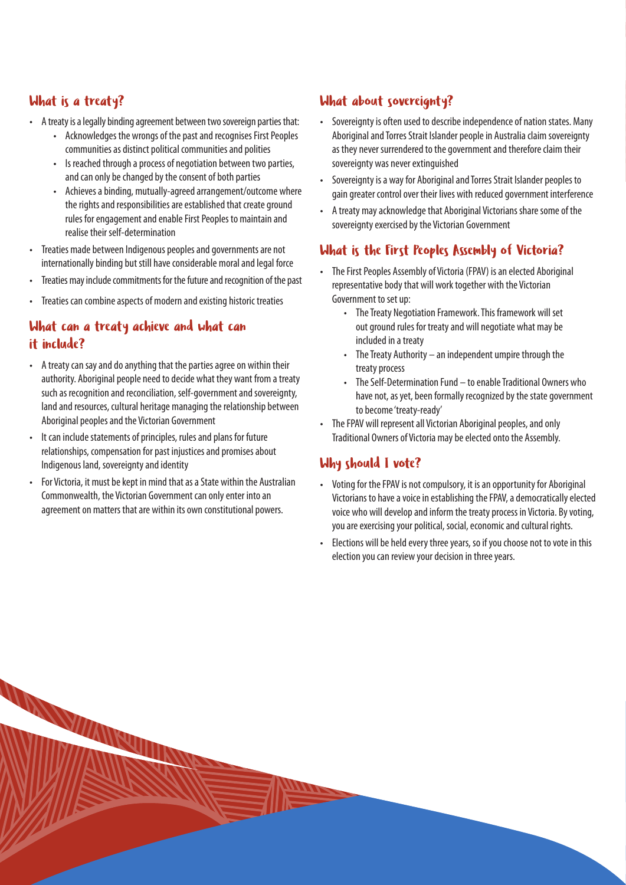# What is a treaty?

- A treaty is a legally binding agreement between two sovereign parties that:
	- Acknowledges the wrongs of the past and recognises First Peoples communities as distinct political communities and polities
	- Is reached through a process of negotiation between two parties, and can only be changed by the consent of both parties
	- Achieves a binding, mutually-agreed arrangement/outcome where the rights and responsibilities are established that create ground rules for engagement and enable First Peoples to maintain and realise their self-determination
- Treaties made between Indigenous peoples and governments are not internationally binding but still have considerable moral and legal force
- Treaties may include commitments for the future and recognition of the past
- Treaties can combine aspects of modern and existing historic treaties

# What can a treaty achieve and what can it include?

- A treaty can say and do anything that the parties agree on within their authority. Aboriginal people need to decide what they want from a treaty such as recognition and reconciliation, self-government and sovereignty, land and resources, cultural heritage managing the relationship between Aboriginal peoples and the Victorian Government
- It can include statements of principles, rules and plans for future relationships, compensation for past injustices and promises about Indigenous land, sovereignty and identity
- For Victoria, it must be kept in mind that as a State within the Australian Commonwealth, the Victorian Government can only enter into an agreement on matters that are within its own constitutional powers.

**MARK ANTENDER** 

# What about sovereignty?

- Sovereignty is often used to describe independence of nation states. Many Aboriginal and Torres Strait Islander people in Australia claim sovereignty as they never surrendered to the government and therefore claim their sovereignty was never extinguished
- Sovereignty is a way for Aboriginal and Torres Strait Islander peoples to gain greater control over their lives with reduced government interference
- A treaty may acknowledge that Aboriginal Victorians share some of the sovereignty exercised by the Victorian Government

# What is the First Peoples Assembly of Victoria?

- The First Peoples Assembly of Victoria (FPAV) is an elected Aboriginal representative body that will work together with the Victorian Government to set up:
	- The Treaty Negotiation Framework. This framework will set out ground rules for treaty and will negotiate what may be included in a treaty
	- The Treaty Authority  $-$  an independent umpire through the treaty process
	- The Self-Determination Fund to enable Traditional Owners who have not, as yet, been formally recognized by the state government to become 'treaty-ready'
- The FPAV will represent all Victorian Aboriginal peoples, and only Traditional Owners of Victoria may be elected onto the Assembly.

# Why should I vote?

- Voting for the FPAV is not compulsory, it is an opportunity for Aboriginal Victorians to have a voice in establishing the FPAV, a democratically elected voice who will develop and inform the treaty process in Victoria. By voting, you are exercising your political, social, economic and cultural rights.
- Elections will be held every three years, so if you choose not to vote in this election you can review your decision in three years.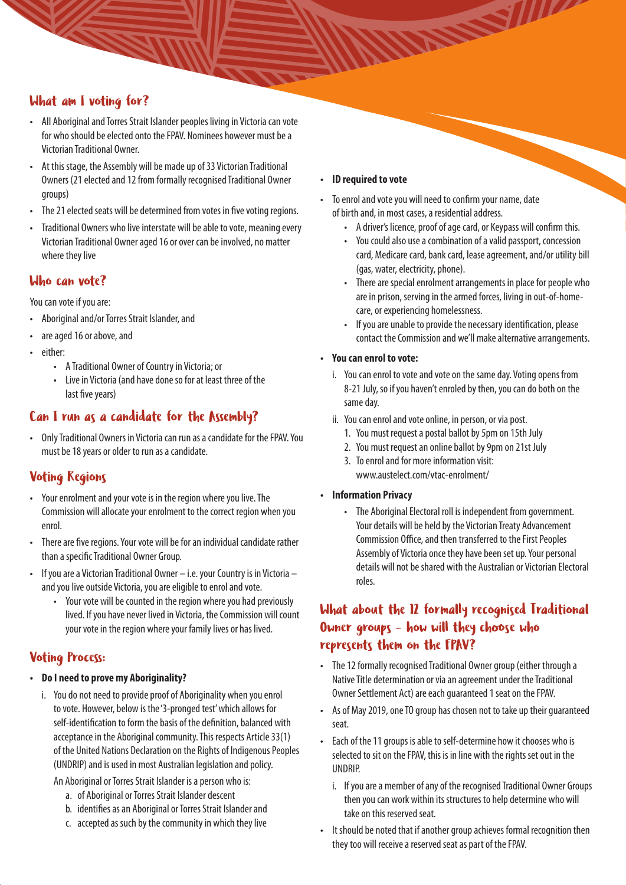# What am I voting for?

- All Aboriginal and Torres Strait Islander peoples living in Victoria can vote for who should be elected onto the FPAV. Nominees however must be a Victorian Traditional Owner.
- At this stage, the Assembly will be made up of 33 Victorian Traditional Owners (21 elected and 12 from formally recognised Traditional Owner groups)
- The 21 elected seats will be determined from votes in five voting regions.
- Traditional Owners who live interstate will be able to vote, meaning every Victorian Traditional Owner aged 16 or over can be involved, no matter where they live

# Who can vote?

You can vote if you are:

- Aboriginal and/or Torres Strait Islander, and
- are aged 16 or above, and
- either:
	- A Traditional Owner of Country in Victoria; or
	- Live in Victoria (and have done so for at least three of the last five years)

# Can I run as a candidate for the Assembly?

• Only Traditional Owners in Victoria can run as a candidate for the FPAV. You must be 18 years or older to run as a candidate.

# Voting Regions

- Your enrolment and your vote is in the region where you live. The Commission will allocate your enrolment to the correct region when you enrol.
- There are five regions. Your vote will be for an individual candidate rather than a specific Traditional Owner Group.
- If you are a Victorian Traditional Owner  $-$  i.e. your Country is in Victoria  $$ and you live outside Victoria, you are eligible to enrol and vote.
	- Your vote will be counted in the region where you had previously lived. If you have never lived in Victoria, the Commission will count your vote in the region where your family lives or has lived.

### Voting Process:

#### **• Do I need to prove my Aboriginality?**

i. You do not need to provide proof of Aboriginality when you enrol to vote. However, below is the '3-pronged test' which allows for self-identification to form the basis of the definition, balanced with acceptance in the Aboriginal community. This respects Article 33(1) of the United Nations Declaration on the Rights of Indigenous Peoples (UNDRIP) and is used in most Australian legislation and policy.

An Aboriginal or Torres Strait Islander is a person who is:

- a. of Aboriginal or Torres Strait Islander descent
- b. identifies as an Aboriginal or Torres Strait Islander and
- c. accepted as such by the community in which they live

#### **• ID required to vote**

- To enrol and vote you will need to confirm your name, date of birth and, in most cases, a residential address.
	- A driver's licence, proof of age card, or Keypass will confirm this.
	- You could also use a combination of a valid passport, concession card, Medicare card, bank card, lease agreement, and/or utility bill (gas, water, electricity, phone).
	- There are special enrolment arrangements in place for people who are in prison, serving in the armed forces, living in out-of-homecare, or experiencing homelessness.
	- If you are unable to provide the necessary identification, please contact the Commission and we'll make alternative arrangements.

#### **• You can enrol to vote:**

- i. You can enrol to vote and vote on the same day. Voting opens from 8-21 July, so if you haven't enroled by then, you can do both on the same day.
- ii. You can enrol and vote online, in person, or via post.
	- 1. You must request a postal ballot by 5pm on 15th July
	- 2. You must request an online ballot by 9pm on 21st July
	- 3. To enrol and for more information visit: www.austelect.com/vtac-enrolment/

#### **• Information Privacy**

• The Aboriginal Electoral roll is independent from government. Your details will be held by the Victorian Treaty Advancement Commission Office, and then transferred to the First Peoples Assembly of Victoria once they have been set up. Your personal details will not be shared with the Australian or Victorian Electoral roles.

# What about the 12 formally recognised Traditional Owner groups – how will they choose who represents them on the FPAV?

- The 12 formally recognised Traditional Owner group (either through a Native Title determination or via an agreement under the Traditional Owner Settlement Act) are each guaranteed 1 seat on the FPAV.
- As of May 2019, one TO group has chosen not to take up their guaranteed seat.
- Each of the 11 groups is able to self-determine how it chooses who is selected to sit on the FPAV, this is in line with the rights set out in the UNDRIP.
	- i. If you are a member of any of the recognised Traditional Owner Groups then you can work within its structures to help determine who will take on this reserved seat.
- It should be noted that if another group achieves formal recognition then they too will receive a reserved seat as part of the FPAV.